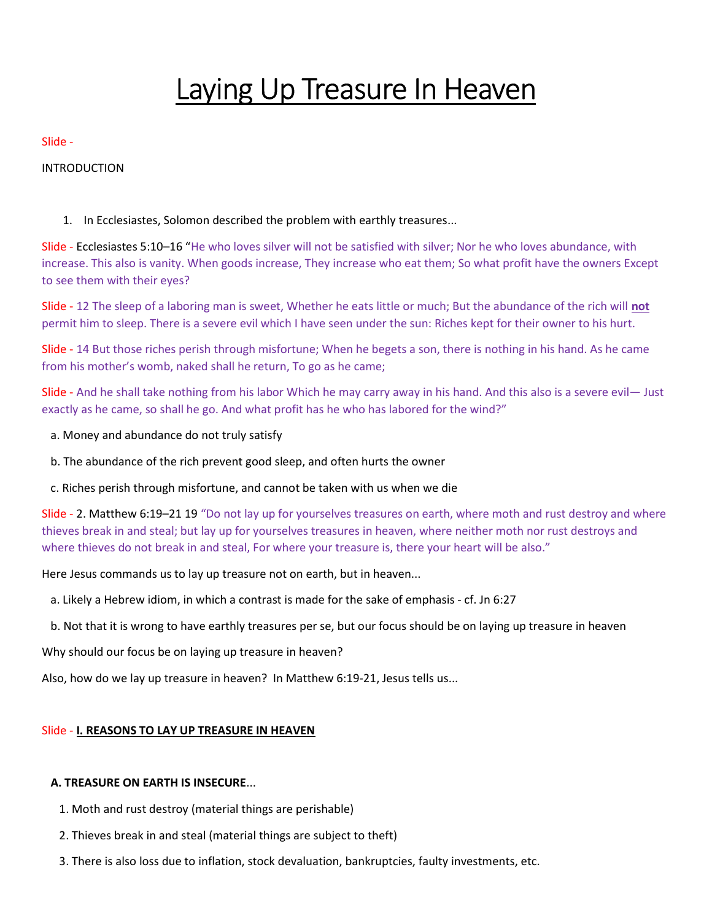# Laying Up Treasure In Heaven

## Slide -

INTRODUCTION

1. In Ecclesiastes, Solomon described the problem with earthly treasures...

Slide - Ecclesiastes 5:10–16 "He who loves silver will not be satisfied with silver; Nor he who loves abundance, with increase. This also is vanity. When goods increase, They increase who eat them; So what profit have the owners Except to see them with their eyes?

Slide - 12 The sleep of a laboring man is sweet, Whether he eats little or much; But the abundance of the rich will not permit him to sleep. There is a severe evil which I have seen under the sun: Riches kept for their owner to his hurt.

Slide - 14 But those riches perish through misfortune; When he begets a son, there is nothing in his hand. As he came from his mother's womb, naked shall he return, To go as he came;

Slide - And he shall take nothing from his labor Which he may carry away in his hand. And this also is a severe evil— Just exactly as he came, so shall he go. And what profit has he who has labored for the wind?"

- a. Money and abundance do not truly satisfy
- b. The abundance of the rich prevent good sleep, and often hurts the owner
- c. Riches perish through misfortune, and cannot be taken with us when we die

Slide - 2. Matthew 6:19–21 19 "Do not lay up for yourselves treasures on earth, where moth and rust destroy and where thieves break in and steal; but lay up for yourselves treasures in heaven, where neither moth nor rust destroys and where thieves do not break in and steal, For where your treasure is, there your heart will be also."

Here Jesus commands us to lay up treasure not on earth, but in heaven...

- a. Likely a Hebrew idiom, in which a contrast is made for the sake of emphasis cf. Jn 6:27
- b. Not that it is wrong to have earthly treasures per se, but our focus should be on laying up treasure in heaven

Why should our focus be on laying up treasure in heaven?

Also, how do we lay up treasure in heaven? In Matthew 6:19-21, Jesus tells us...

# Slide - I. REASONS TO LAY UP TREASURE IN HEAVEN

# A. TREASURE ON EARTH IS INSECURE...

- 1. Moth and rust destroy (material things are perishable)
- 2. Thieves break in and steal (material things are subject to theft)
- 3. There is also loss due to inflation, stock devaluation, bankruptcies, faulty investments, etc.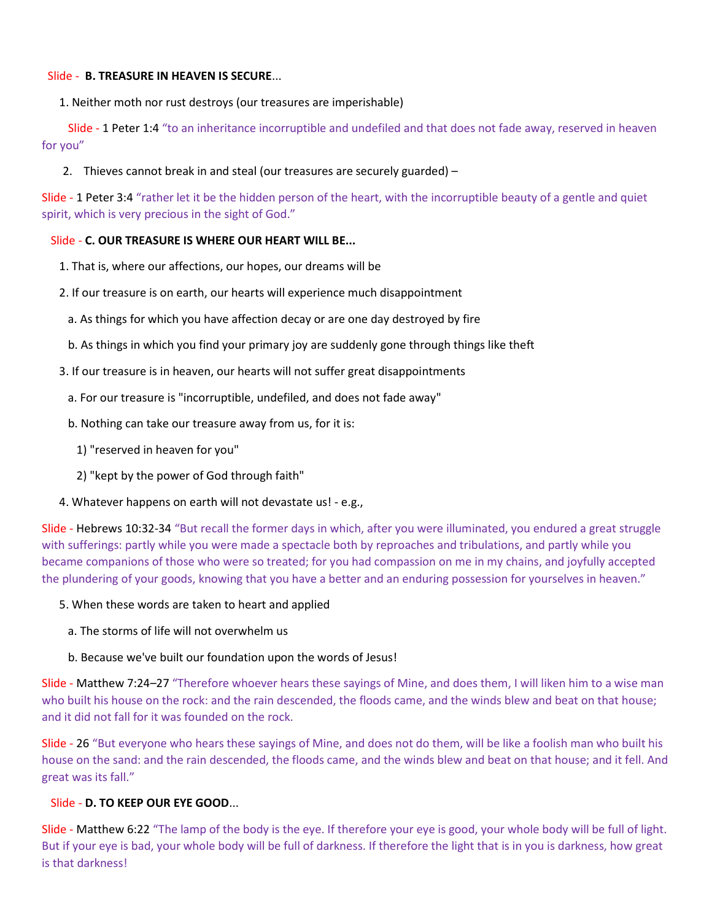## Slide - B. TREASURE IN HEAVEN IS SECURE...

1. Neither moth nor rust destroys (our treasures are imperishable)

 Slide - 1 Peter 1:4 "to an inheritance incorruptible and undefiled and that does not fade away, reserved in heaven for you"

2. Thieves cannot break in and steal (our treasures are securely guarded) –

Slide - 1 Peter 3:4 "rather let it be the hidden person of the heart, with the incorruptible beauty of a gentle and quiet spirit, which is very precious in the sight of God."

## Slide - C. OUR TREASURE IS WHERE OUR HEART WILL BE...

- 1. That is, where our affections, our hopes, our dreams will be
- 2. If our treasure is on earth, our hearts will experience much disappointment
	- a. As things for which you have affection decay or are one day destroyed by fire
	- b. As things in which you find your primary joy are suddenly gone through things like theft
- 3. If our treasure is in heaven, our hearts will not suffer great disappointments
- a. For our treasure is "incorruptible, undefiled, and does not fade away"
- b. Nothing can take our treasure away from us, for it is:
	- 1) "reserved in heaven for you"
	- 2) "kept by the power of God through faith"
- 4. Whatever happens on earth will not devastate us! e.g.,

Slide - Hebrews 10:32-34 "But recall the former days in which, after you were illuminated, you endured a great struggle with sufferings: partly while you were made a spectacle both by reproaches and tribulations, and partly while you became companions of those who were so treated; for you had compassion on me in my chains, and joyfully accepted the plundering of your goods, knowing that you have a better and an enduring possession for yourselves in heaven."

- 5. When these words are taken to heart and applied
	- a. The storms of life will not overwhelm us
	- b. Because we've built our foundation upon the words of Jesus!

Slide - Matthew 7:24–27 "Therefore whoever hears these sayings of Mine, and does them, I will liken him to a wise man who built his house on the rock: and the rain descended, the floods came, and the winds blew and beat on that house; and it did not fall for it was founded on the rock.

Slide - 26 "But everyone who hears these sayings of Mine, and does not do them, will be like a foolish man who built his house on the sand: and the rain descended, the floods came, and the winds blew and beat on that house; and it fell. And great was its fall."

## Slide - D. TO KEEP OUR EYE GOOD...

Slide - Matthew 6:22 "The lamp of the body is the eye. If therefore your eye is good, your whole body will be full of light. But if your eye is bad, your whole body will be full of darkness. If therefore the light that is in you is darkness, how great is that darkness!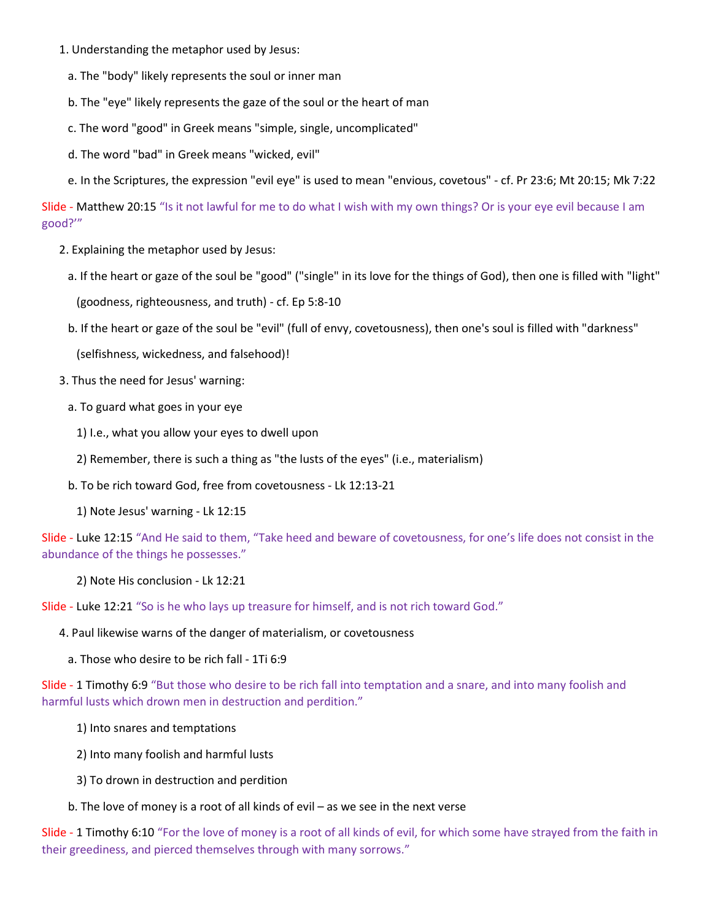- 1. Understanding the metaphor used by Jesus:
	- a. The "body" likely represents the soul or inner man
	- b. The "eye" likely represents the gaze of the soul or the heart of man
	- c. The word "good" in Greek means "simple, single, uncomplicated"
	- d. The word "bad" in Greek means "wicked, evil"
	- e. In the Scriptures, the expression "evil eye" is used to mean "envious, covetous" cf. Pr 23:6; Mt 20:15; Mk 7:22

Slide - Matthew 20:15 "Is it not lawful for me to do what I wish with my own things? Or is your eye evil because I am good?'"

- 2. Explaining the metaphor used by Jesus:
	- a. If the heart or gaze of the soul be "good" ("single" in its love for the things of God), then one is filled with "light" (goodness, righteousness, and truth) - cf. Ep 5:8-10
	- b. If the heart or gaze of the soul be "evil" (full of envy, covetousness), then one's soul is filled with "darkness"

(selfishness, wickedness, and falsehood)!

- 3. Thus the need for Jesus' warning:
	- a. To guard what goes in your eye
		- 1) I.e., what you allow your eyes to dwell upon
		- 2) Remember, there is such a thing as "the lusts of the eyes" (i.e., materialism)
	- b. To be rich toward God, free from covetousness Lk 12:13-21
		- 1) Note Jesus' warning Lk 12:15

Slide - Luke 12:15 "And He said to them, "Take heed and beware of covetousness, for one's life does not consist in the abundance of the things he possesses."

2) Note His conclusion - Lk 12:21

Slide - Luke 12:21 "So is he who lays up treasure for himself, and is not rich toward God."

4. Paul likewise warns of the danger of materialism, or covetousness

a. Those who desire to be rich fall - 1Ti 6:9

Slide - 1 Timothy 6:9 "But those who desire to be rich fall into temptation and a snare, and into many foolish and harmful lusts which drown men in destruction and perdition."

- 1) Into snares and temptations
- 2) Into many foolish and harmful lusts
- 3) To drown in destruction and perdition
- b. The love of money is a root of all kinds of evil as we see in the next verse

Slide - 1 Timothy 6:10 "For the love of money is a root of all kinds of evil, for which some have strayed from the faith in their greediness, and pierced themselves through with many sorrows."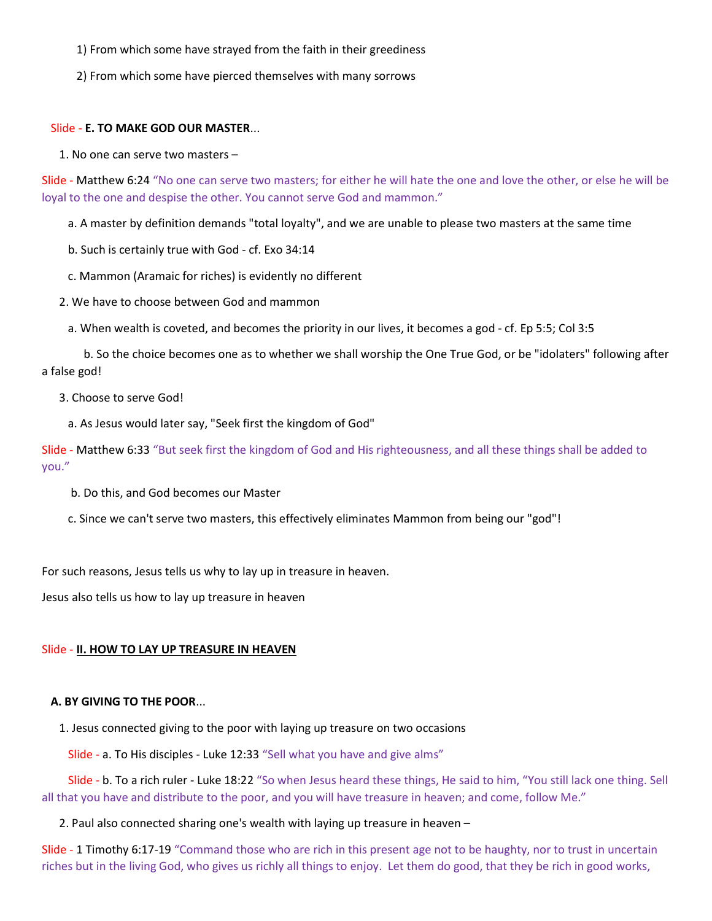1) From which some have strayed from the faith in their greediness

2) From which some have pierced themselves with many sorrows

#### Slide - E. TO MAKE GOD OUR MASTER...

1. No one can serve two masters –

Slide - Matthew 6:24 "No one can serve two masters; for either he will hate the one and love the other, or else he will be loyal to the one and despise the other. You cannot serve God and mammon."

a. A master by definition demands "total loyalty", and we are unable to please two masters at the same time

b. Such is certainly true with God - cf. Exo 34:14

c. Mammon (Aramaic for riches) is evidently no different

2. We have to choose between God and mammon

a. When wealth is coveted, and becomes the priority in our lives, it becomes a god - cf. Ep 5:5; Col 3:5

b. So the choice becomes one as to whether we shall worship the One True God, or be "idolaters" following after a false god!

## 3. Choose to serve God!

a. As Jesus would later say, "Seek first the kingdom of God"

Slide - Matthew 6:33 "But seek first the kingdom of God and His righteousness, and all these things shall be added to you."

b. Do this, and God becomes our Master

c. Since we can't serve two masters, this effectively eliminates Mammon from being our "god"!

For such reasons, Jesus tells us why to lay up in treasure in heaven.

Jesus also tells us how to lay up treasure in heaven

#### Slide - II. HOW TO LAY UP TREASURE IN HEAVEN

#### A. BY GIVING TO THE POOR...

1. Jesus connected giving to the poor with laying up treasure on two occasions

Slide - a. To His disciples - Luke 12:33 "Sell what you have and give alms"

 Slide - b. To a rich ruler - Luke 18:22 "So when Jesus heard these things, He said to him, "You still lack one thing. Sell all that you have and distribute to the poor, and you will have treasure in heaven; and come, follow Me."

#### 2. Paul also connected sharing one's wealth with laying up treasure in heaven –

Slide - 1 Timothy 6:17-19 "Command those who are rich in this present age not to be haughty, nor to trust in uncertain riches but in the living God, who gives us richly all things to enjoy. Let them do good, that they be rich in good works,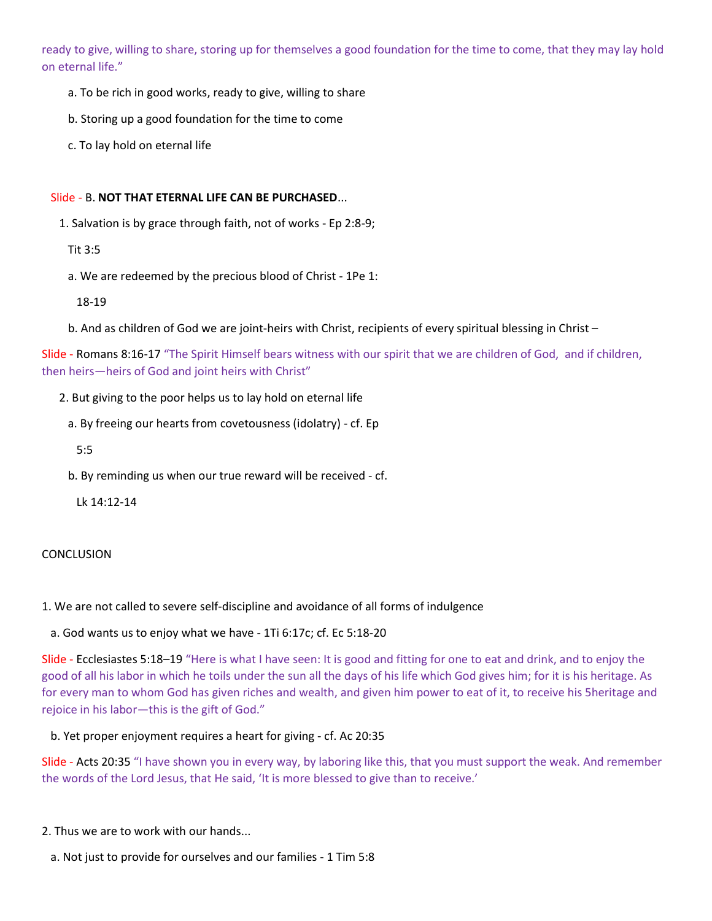ready to give, willing to share, storing up for themselves a good foundation for the time to come, that they may lay hold on eternal life."

- a. To be rich in good works, ready to give, willing to share
- b. Storing up a good foundation for the time to come
- c. To lay hold on eternal life

## Slide - B. NOT THAT ETERNAL LIFE CAN BE PURCHASED...

1. Salvation is by grace through faith, not of works - Ep 2:8-9;

Tit 3:5

a. We are redeemed by the precious blood of Christ - 1Pe 1:

18-19

b. And as children of God we are joint-heirs with Christ, recipients of every spiritual blessing in Christ –

Slide - Romans 8:16-17 "The Spirit Himself bears witness with our spirit that we are children of God, and if children, then heirs—heirs of God and joint heirs with Christ"

2. But giving to the poor helps us to lay hold on eternal life

a. By freeing our hearts from covetousness (idolatry) - cf. Ep

5:5

b. By reminding us when our true reward will be received - cf.

Lk 14:12-14

# **CONCLUSION**

1. We are not called to severe self-discipline and avoidance of all forms of indulgence

a. God wants us to enjoy what we have - 1Ti 6:17c; cf. Ec 5:18-20

Slide - Ecclesiastes 5:18–19 "Here is what I have seen: It is good and fitting for one to eat and drink, and to enjoy the good of all his labor in which he toils under the sun all the days of his life which God gives him; for it is his heritage. As for every man to whom God has given riches and wealth, and given him power to eat of it, to receive his 5heritage and rejoice in his labor—this is the gift of God."

b. Yet proper enjoyment requires a heart for giving - cf. Ac 20:35

Slide - Acts 20:35 "I have shown you in every way, by laboring like this, that you must support the weak. And remember the words of the Lord Jesus, that He said, 'It is more blessed to give than to receive.'

- 2. Thus we are to work with our hands...
	- a. Not just to provide for ourselves and our families 1 Tim 5:8